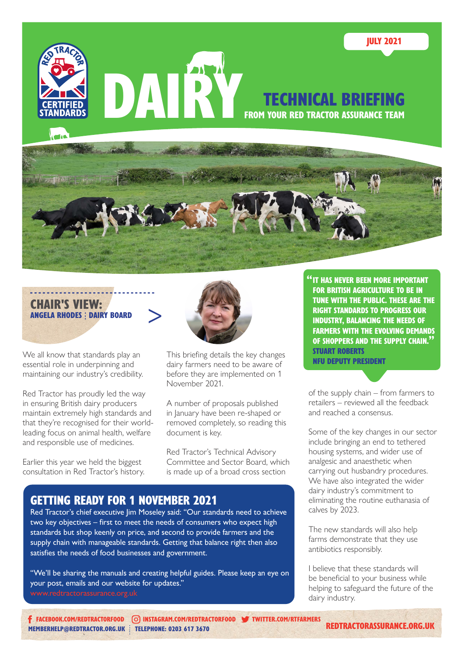



We all know that standards play an essential role in underpinning and maintaining our industry's credibility.

Red Tractor has proudly led the way in ensuring British dairy producers maintain extremely high standards and that they're recognised for their worldleading focus on animal health, welfare and responsible use of medicines.

Earlier this year we held the biggest consultation in Red Tractor's history.



This briefing details the key changes dairy farmers need to be aware of before they are implemented on 1 November 2021.

A number of proposals published in January have been re-shaped or removed completely, so reading this document is key.

Red Tractor's Technical Advisory Committee and Sector Board, which is made up of a broad cross section

#### "IT HAS NEVER BEEN MORE IMPORTANT FOR BRITISH AGRICULTURE TO BE IN TUNE WITH THE PUBLIC. THESE ARE THE RIGHT STANDARDS TO PROGRESS OUR INDUSTRY, BALANCING THE NEEDS OF FARMERS WITH THE EVOLVING DEMANDS OF SHOPPERS AND THE SUPPLY CHAIN." STUART ROBERTS

NFU DEPUTY PRESIDENT

of the supply chain – from farmers to retailers – reviewed all the feedback and reached a consensus.

Some of the key changes in our sector include bringing an end to tethered housing systems, and wider use of analgesic and anaesthetic when carrying out husbandry procedures. We have also integrated the wider dairy industry's commitment to eliminating the routine euthanasia of calves by 2023.

The new standards will also help farms demonstrate that they use antibiotics responsibly.

I believe that these standards will be beneficial to your business while helping to safeguard the future of the dairy industry.

# GETTING READY FOR 1 NOVEMBER 2021

Red Tractor's chief executive Jim Moseley said: "Our standards need to achieve two key objectives – first to meet the needs of consumers who expect high standards but shop keenly on price, and second to provide farmers and the supply chain with manageable standards. Getting that balance right then also satisfies the needs of food businesses and government.

"We'll be sharing the manuals and creating helpful guides. Please keep an eye on your post, emails and our website for updates." [www.redtractorassurance.org.uk](http://www.redtractorassurance.org.uk)

[MEMBERHELP@REDTRACTOR.ORG.UK](mailto:memberhelp%40redtractor.org.uk?subject=) : TELEPHONE: 0203 617 3670 [FACEBOOK.COM/REDTRACTORFOOD](http://facebook.com/redtractorfood) [INSTAGRAM.COM/REDTRACTORFOOD](http://instagram.com/redtractorfood) [TWITTER.COM/R](http://twitter.com/rtfarmers)TFARMERS